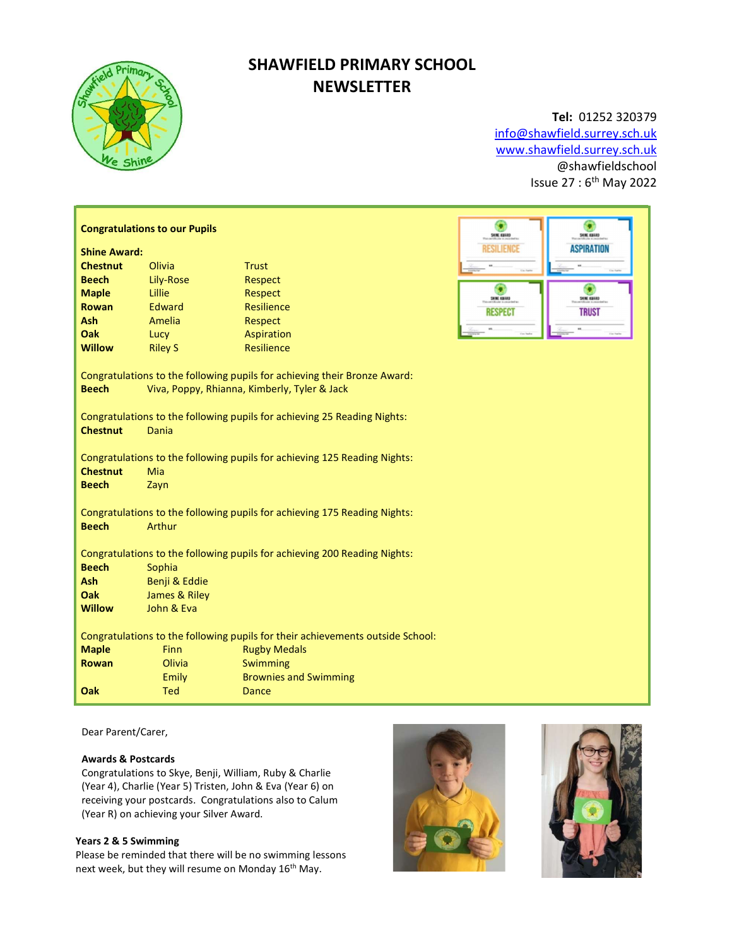

# SHAWFIELD PRIMARY SCHOOL **NEWSLETTER**

## Tel: 01252 320379 info@shawfield.surrey.sch.uk

www.shawfield.surrey.sch.uk @shawfieldschool Issue 27 : 6th May 2022

|                                                                                                                                           | <b>Congratulations to our Pupils</b> | ۰<br>SHIE EBIAD              | SHIE EBARD        |                    |  |  |
|-------------------------------------------------------------------------------------------------------------------------------------------|--------------------------------------|------------------------------|-------------------|--------------------|--|--|
| <b>Shine Award:</b>                                                                                                                       |                                      | RESILIENCE                   | <b>ASPIRATION</b> |                    |  |  |
| <b>Chestnut</b>                                                                                                                           | Olivia                               | <b>Trust</b>                 |                   |                    |  |  |
| <b>Beech</b>                                                                                                                              | Lily-Rose                            | Respect                      |                   |                    |  |  |
| <b>Maple</b>                                                                                                                              | Lillie                               | Respect                      | о<br>SHINE ABAND  | <b>SHIKE KURAD</b> |  |  |
| <b>Rowan</b>                                                                                                                              | Edward                               | <b>Resilience</b>            | <b>RESPECT</b>    | <b>TRUST</b>       |  |  |
| Ash                                                                                                                                       | Amelia                               | Respect                      |                   |                    |  |  |
| Oak                                                                                                                                       | Lucy                                 | Aspiration                   |                   |                    |  |  |
| <b>Willow</b>                                                                                                                             | <b>Riley S</b>                       | Resilience                   |                   |                    |  |  |
| Congratulations to the following pupils for achieving their Bronze Award:<br><b>Beech</b><br>Viva, Poppy, Rhianna, Kimberly, Tyler & Jack |                                      |                              |                   |                    |  |  |
| Congratulations to the following pupils for achieving 25 Reading Nights:<br><b>Chestnut</b><br><b>Dania</b>                               |                                      |                              |                   |                    |  |  |
| Congratulations to the following pupils for achieving 125 Reading Nights:                                                                 |                                      |                              |                   |                    |  |  |
| <b>Chestnut</b>                                                                                                                           | Mia                                  |                              |                   |                    |  |  |
| <b>Beech</b>                                                                                                                              | Zayn                                 |                              |                   |                    |  |  |
| Congratulations to the following pupils for achieving 175 Reading Nights:                                                                 |                                      |                              |                   |                    |  |  |
| <b>Beech</b>                                                                                                                              | Arthur                               |                              |                   |                    |  |  |
| Congratulations to the following pupils for achieving 200 Reading Nights:                                                                 |                                      |                              |                   |                    |  |  |
| <b>Beech</b>                                                                                                                              | Sophia                               |                              |                   |                    |  |  |
| Ash                                                                                                                                       | Benji & Eddie                        |                              |                   |                    |  |  |
| Oak                                                                                                                                       | James & Riley                        |                              |                   |                    |  |  |
| <b>Willow</b>                                                                                                                             | John & Eva                           |                              |                   |                    |  |  |
| Congratulations to the following pupils for their achievements outside School:                                                            |                                      |                              |                   |                    |  |  |
| <b>Maple</b>                                                                                                                              | <b>Finn</b>                          | <b>Rugby Medals</b>          |                   |                    |  |  |
| <b>Rowan</b>                                                                                                                              | Olivia                               | Swimming                     |                   |                    |  |  |
|                                                                                                                                           | Emily                                | <b>Brownies and Swimming</b> |                   |                    |  |  |
| Oak                                                                                                                                       | <b>Ted</b>                           | <b>Dance</b>                 |                   |                    |  |  |

Dear Parent/Carer,

## Awards & Postcards

Congratulations to Skye, Benji, William, Ruby & Charlie (Year 4), Charlie (Year 5) Tristen, John & Eva (Year 6) on receiving your postcards. Congratulations also to Calum (Year R) on achieving your Silver Award.

## Years 2 & 5 Swimming

Please be reminded that there will be no swimming lessons next week, but they will resume on Monday 16<sup>th</sup> May.



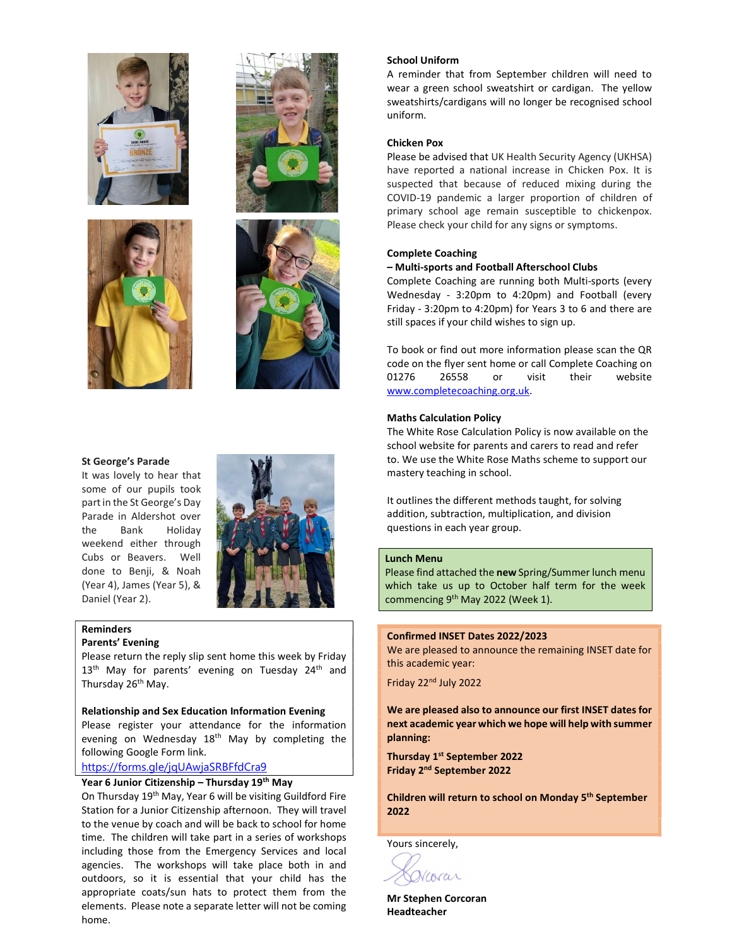







## St George's Parade

It was lovely to hear that some of our pupils took part in the St George's Day Parade in Aldershot over the Bank Holiday weekend either through Cubs or Beavers. Well done to Benji, & Noah (Year 4), James (Year 5), & Daniel (Year 2).



#### Reminders Parents' Evening

Please return the reply slip sent home this week by Friday 13<sup>th</sup> May for parents' evening on Tuesday 24<sup>th</sup> and Thursday 26<sup>th</sup> May.

Relationship and Sex Education Information Evening Please register your attendance for the information evening on Wednesday 18<sup>th</sup> May by completing the following Google Form link.

## https://forms.gle/jqUAwjaSRBFfdCra9

## Year 6 Junior Citizenship – Thursday 19<sup>th</sup> May

On Thursday 19th May, Year 6 will be visiting Guildford Fire Station for a Junior Citizenship afternoon. They will travel to the venue by coach and will be back to school for home time. The children will take part in a series of workshops including those from the Emergency Services and local agencies. The workshops will take place both in and outdoors, so it is essential that your child has the appropriate coats/sun hats to protect them from the elements. Please note a separate letter will not be coming home.

#### School Uniform

A reminder that from September children will need to wear a green school sweatshirt or cardigan. The yellow sweatshirts/cardigans will no longer be recognised school uniform.

## Chicken Pox

Please be advised that UK Health Security Agency (UKHSA) have reported a national increase in Chicken Pox. It is suspected that because of reduced mixing during the COVID-19 pandemic a larger proportion of children of primary school age remain susceptible to chickenpox. Please check your child for any signs or symptoms.

#### Complete Coaching

#### – Multi-sports and Football Afterschool Clubs

Complete Coaching are running both Multi-sports (every Wednesday - 3:20pm to 4:20pm) and Football (every Friday - 3:20pm to 4:20pm) for Years 3 to 6 and there are still spaces if your child wishes to sign up.

To book or find out more information please scan the QR code on the flyer sent home or call Complete Coaching on 01276 26558 or visit their website www.completecoaching.org.uk.

#### Maths Calculation Policy

The White Rose Calculation Policy is now available on the school website for parents and carers to read and refer to. We use the White Rose Maths scheme to support our mastery teaching in school.

It outlines the different methods taught, for solving addition, subtraction, multiplication, and division questions in each year group.

#### Lunch Menu

Please find attached the new Spring/Summer lunch menu which take us up to October half term for the week commencing 9<sup>th</sup> May 2022 (Week 1).

## Confirmed INSET Dates 2022/2023

We are pleased to announce the remaining INSET date for this academic year:

Friday 22nd July 2022

We are pleased also to announce our first INSET dates for next academic year which we hope will help with summer planning:

Thursday 1<sup>st</sup> September 2022 Friday 2nd September 2022

Children will return to school on Monday 5th September 2022

Yours sincerely,

Vcorar

Mr Stephen Corcoran Headteacher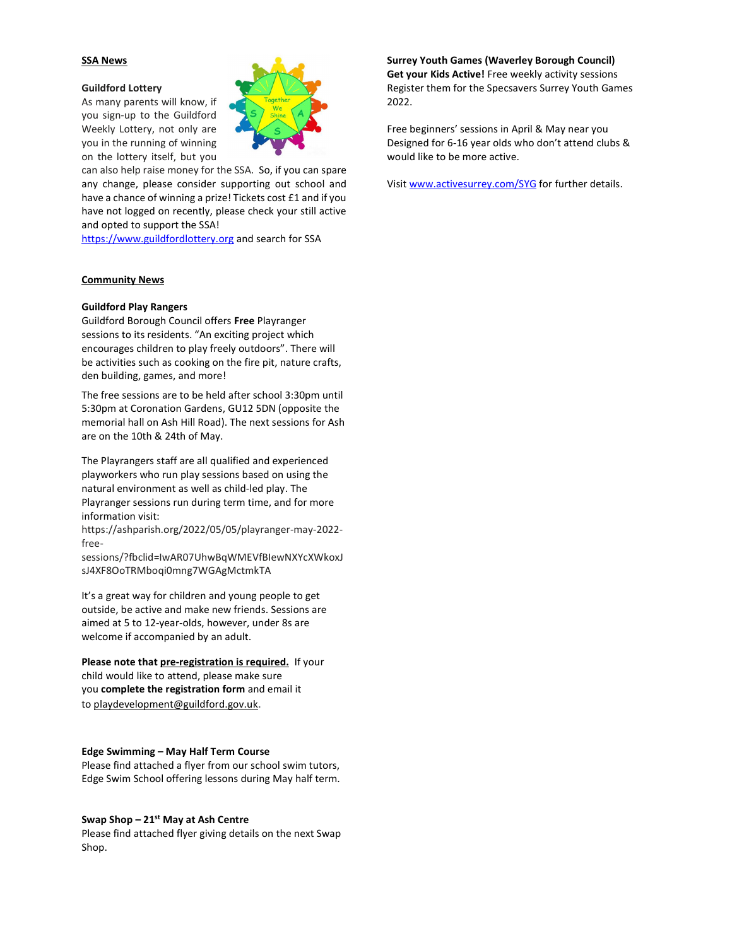### SSA News

#### Guildford Lottery

As many parents will know, if you sign-up to the Guildford Weekly Lottery, not only are you in the running of winning on the lottery itself, but you

can also help raise money for the SSA. So, if you can spare any change, please consider supporting out school and have a chance of winning a prize! Tickets cost £1 and if you have not logged on recently, please check your still active and opted to support the SSA!

https://www.guildfordlottery.org and search for SSA

#### Community News

### Guildford Play Rangers

Guildford Borough Council offers Free Playranger sessions to its residents. "An exciting project which encourages children to play freely outdoors". There will be activities such as cooking on the fire pit, nature crafts, den building, games, and more!

The free sessions are to be held after school 3:30pm until 5:30pm at Coronation Gardens, GU12 5DN (opposite the memorial hall on Ash Hill Road). The next sessions for Ash are on the 10th & 24th of May.

The Playrangers staff are all qualified and experienced playworkers who run play sessions based on using the natural environment as well as child-led play. The Playranger sessions run during term time, and for more information visit:

https://ashparish.org/2022/05/05/playranger-may-2022 free-

sessions/?fbclid=IwAR07UhwBqWMEVfBIewNXYcXWkoxJ sJ4XF8OoTRMboqi0mng7WGAgMctmkTA

It's a great way for children and young people to get outside, be active and make new friends. Sessions are aimed at 5 to 12-year-olds, however, under 8s are welcome if accompanied by an adult.

Please note that pre-registration is required. If your child would like to attend, please make sure you complete the registration form and email it to playdevelopment@guildford.gov.uk.

#### Edge Swimming – May Half Term Course

Please find attached a flyer from our school swim tutors, Edge Swim School offering lessons during May half term.

#### Swap Shop  $-21<sup>st</sup>$  May at Ash Centre

Please find attached flyer giving details on the next Swap Shop.

Surrey Youth Games (Waverley Borough Council) Get your Kids Active! Free weekly activity sessions Register them for the Specsavers Surrey Youth Games 2022.

Free beginners' sessions in April & May near you Designed for 6-16 year olds who don't attend clubs & would like to be more active.

Visit www.activesurrey.com/SYG for further details.